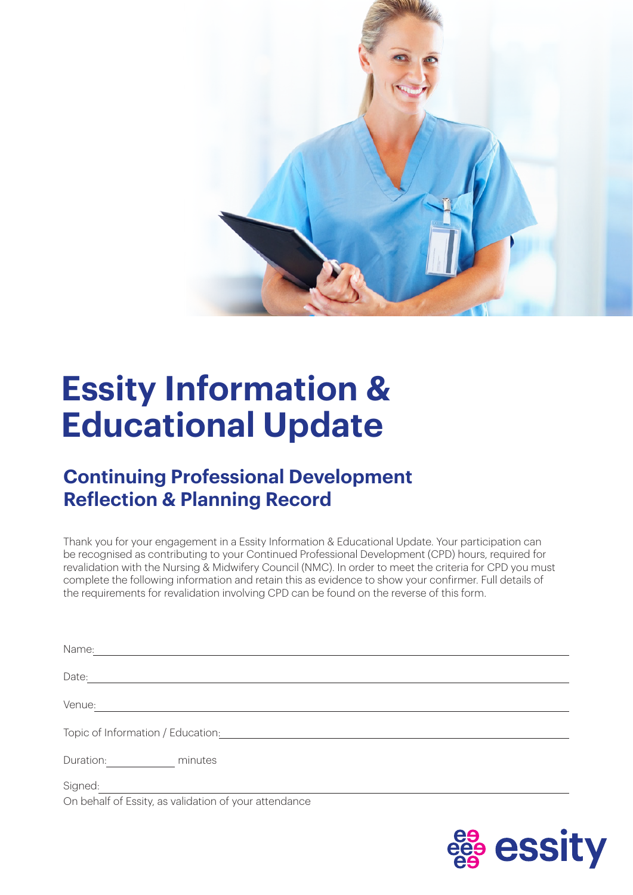

## **Essity Information & Educational Update**

## **Continuing Professional Development Reflection & Planning Record**

Thank you for your engagement in a Essity Information & Educational Update. Your participation can be recognised as contributing to your Continued Professional Development (CPD) hours, required for revalidation with the Nursing & Midwifery Council (NMC). In order to meet the criteria for CPD you must complete the following information and retain this as evidence to show your confirmer. Full details of the requirements for revalidation involving CPD can be found on the reverse of this form.

| Name:                                                 |
|-------------------------------------------------------|
| Date:                                                 |
| Venue:                                                |
| Topic of Information / Education:                     |
| Duration: <b>Example 2019</b><br>minutes              |
| Signed:                                               |
| On behalf of Essity, as validation of your attendance |